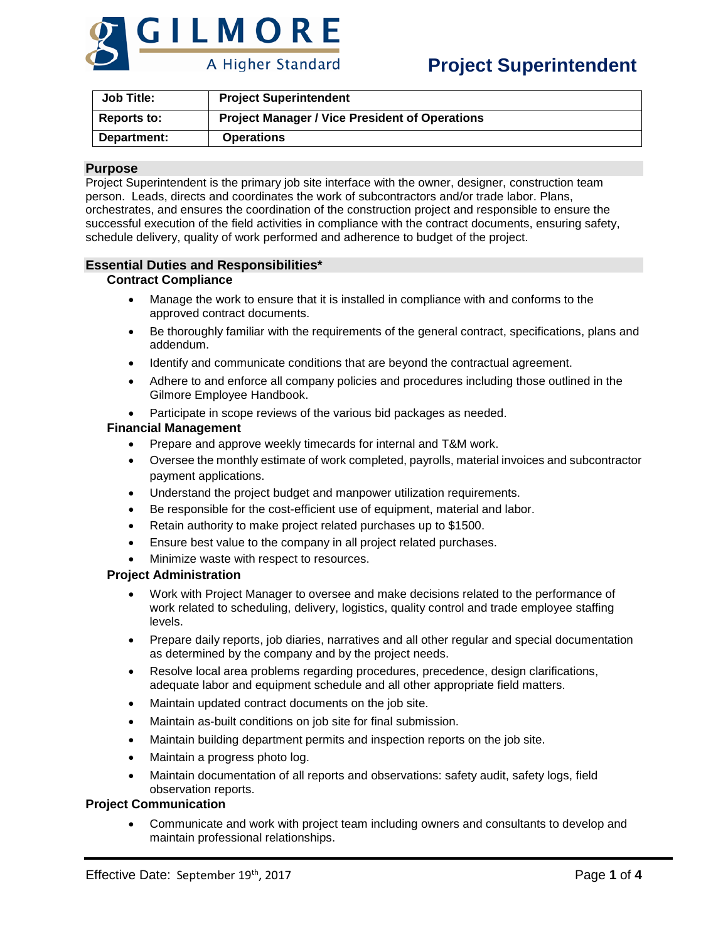

| <b>Job Title:</b> | <b>Project Superintendent</b>                         |
|-------------------|-------------------------------------------------------|
| Reports to:       | <b>Project Manager / Vice President of Operations</b> |
| Department:       | <b>Operations</b>                                     |

#### **Purpose**

Project Superintendent is the primary job site interface with the owner, designer, construction team person. Leads, directs and coordinates the work of subcontractors and/or trade labor. Plans, orchestrates, and ensures the coordination of the construction project and responsible to ensure the successful execution of the field activities in compliance with the contract documents, ensuring safety, schedule delivery, quality of work performed and adherence to budget of the project.

# **Essential Duties and Responsibilities\***

## **Contract Compliance**

- Manage the work to ensure that it is installed in compliance with and conforms to the approved contract documents.
- Be thoroughly familiar with the requirements of the general contract, specifications, plans and addendum.
- Identify and communicate conditions that are beyond the contractual agreement.
- Adhere to and enforce all company policies and procedures including those outlined in the Gilmore Employee Handbook.
- Participate in scope reviews of the various bid packages as needed.

## **Financial Management**

- Prepare and approve weekly timecards for internal and T&M work.
- Oversee the monthly estimate of work completed, payrolls, material invoices and subcontractor payment applications.
- Understand the project budget and manpower utilization requirements.
- Be responsible for the cost-efficient use of equipment, material and labor.
- Retain authority to make project related purchases up to \$1500.
- Ensure best value to the company in all project related purchases.
- Minimize waste with respect to resources.

# **Project Administration**

- Work with Project Manager to oversee and make decisions related to the performance of work related to scheduling, delivery, logistics, quality control and trade employee staffing levels.
- Prepare daily reports, job diaries, narratives and all other regular and special documentation as determined by the company and by the project needs.
- Resolve local area problems regarding procedures, precedence, design clarifications, adequate labor and equipment schedule and all other appropriate field matters.
- Maintain updated contract documents on the job site.
- Maintain as-built conditions on job site for final submission.
- Maintain building department permits and inspection reports on the job site.
- Maintain a progress photo log.
- Maintain documentation of all reports and observations: safety audit, safety logs, field observation reports.

#### **Project Communication**

• Communicate and work with project team including owners and consultants to develop and maintain professional relationships.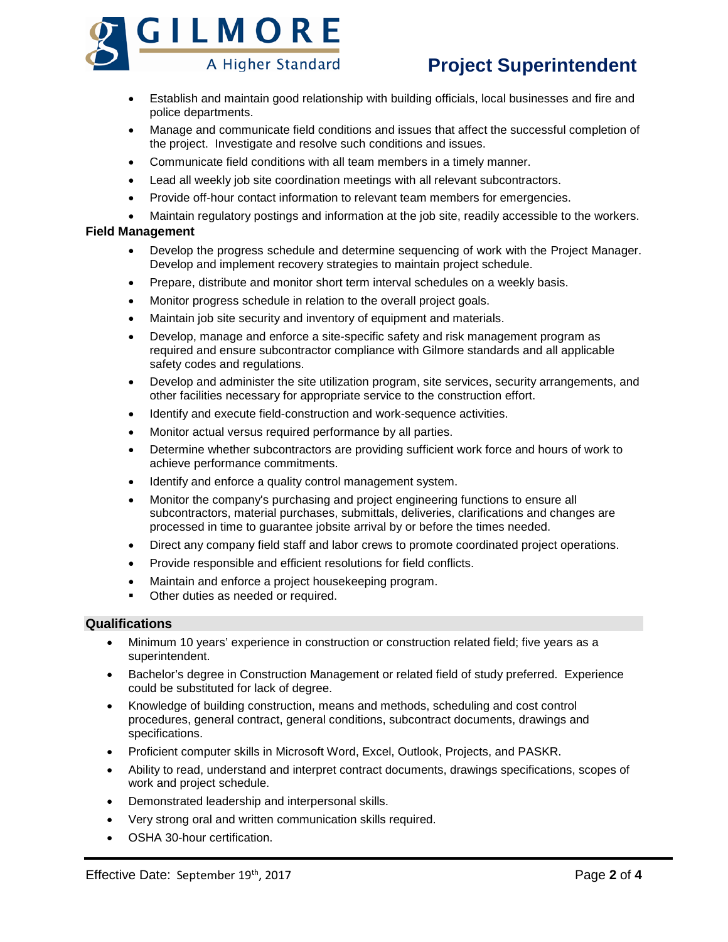

# **Project Superintendent**

- Establish and maintain good relationship with building officials, local businesses and fire and police departments.
- Manage and communicate field conditions and issues that affect the successful completion of the project. Investigate and resolve such conditions and issues.
- Communicate field conditions with all team members in a timely manner.
- Lead all weekly job site coordination meetings with all relevant subcontractors.
- Provide off-hour contact information to relevant team members for emergencies.
- Maintain regulatory postings and information at the job site, readily accessible to the workers.

## **Field Management**

- Develop the progress schedule and determine sequencing of work with the Project Manager. Develop and implement recovery strategies to maintain project schedule.
- Prepare, distribute and monitor short term interval schedules on a weekly basis.
- Monitor progress schedule in relation to the overall project goals.
- Maintain job site security and inventory of equipment and materials.
- Develop, manage and enforce a site-specific safety and risk management program as required and ensure subcontractor compliance with Gilmore standards and all applicable safety codes and regulations.
- Develop and administer the site utilization program, site services, security arrangements, and other facilities necessary for appropriate service to the construction effort.
- Identify and execute field-construction and work-sequence activities.
- Monitor actual versus required performance by all parties.
- Determine whether subcontractors are providing sufficient work force and hours of work to achieve performance commitments.
- Identify and enforce a quality control management system.
- Monitor the company's purchasing and project engineering functions to ensure all subcontractors, material purchases, submittals, deliveries, clarifications and changes are processed in time to guarantee jobsite arrival by or before the times needed.
- Direct any company field staff and labor crews to promote coordinated project operations.
- Provide responsible and efficient resolutions for field conflicts.
- Maintain and enforce a project housekeeping program.
- Other duties as needed or required.

# **Qualifications**

- Minimum 10 years' experience in construction or construction related field; five years as a superintendent.
- Bachelor's degree in Construction Management or related field of study preferred. Experience could be substituted for lack of degree.
- Knowledge of building construction, means and methods, scheduling and cost control procedures, general contract, general conditions, subcontract documents, drawings and specifications.
- Proficient computer skills in Microsoft Word, Excel, Outlook, Projects, and PASKR.
- Ability to read, understand and interpret contract documents, drawings specifications, scopes of work and project schedule.
- Demonstrated leadership and interpersonal skills.
- Very strong oral and written communication skills required.
- OSHA 30-hour certification.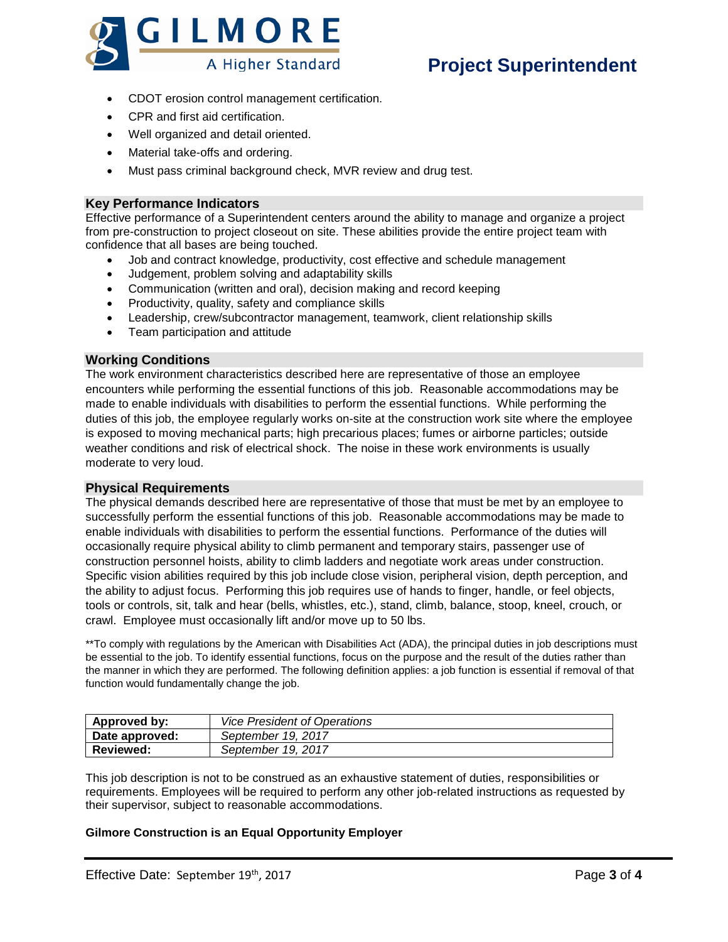

- CDOT erosion control management certification.
- CPR and first aid certification.
- Well organized and detail oriented.
- Material take-offs and ordering.
- Must pass criminal background check, MVR review and drug test.

## **Key Performance Indicators**

Effective performance of a Superintendent centers around the ability to manage and organize a project from pre-construction to project closeout on site. These abilities provide the entire project team with confidence that all bases are being touched.

- Job and contract knowledge, productivity, cost effective and schedule management
- Judgement, problem solving and adaptability skills
- Communication (written and oral), decision making and record keeping
- Productivity, quality, safety and compliance skills
- Leadership, crew/subcontractor management, teamwork, client relationship skills
- Team participation and attitude

# **Working Conditions**

The work environment characteristics described here are representative of those an employee encounters while performing the essential functions of this job. Reasonable accommodations may be made to enable individuals with disabilities to perform the essential functions. While performing the duties of this job, the employee regularly works on-site at the construction work site where the employee is exposed to moving mechanical parts; high precarious places; fumes or airborne particles; outside weather conditions and risk of electrical shock. The noise in these work environments is usually moderate to very loud.

#### **Physical Requirements**

The physical demands described here are representative of those that must be met by an employee to successfully perform the essential functions of this job. Reasonable accommodations may be made to enable individuals with disabilities to perform the essential functions. Performance of the duties will occasionally require physical ability to climb permanent and temporary stairs, passenger use of construction personnel hoists, ability to climb ladders and negotiate work areas under construction. Specific vision abilities required by this job include close vision, peripheral vision, depth perception, and the ability to adjust focus. Performing this job requires use of hands to finger, handle, or feel objects, tools or controls, sit, talk and hear (bells, whistles, etc.), stand, climb, balance, stoop, kneel, crouch, or crawl. Employee must occasionally lift and/or move up to 50 lbs.

\*\*To comply with regulations by the American with Disabilities Act (ADA), the principal duties in job descriptions must be essential to the job. To identify essential functions, focus on the purpose and the result of the duties rather than the manner in which they are performed. The following definition applies: a job function is essential if removal of that function would fundamentally change the job.

| Approved by:   | Vice President of Operations |
|----------------|------------------------------|
| Date approved: | September 19, 2017           |
| Reviewed:      | September 19, 2017           |

This job description is not to be construed as an exhaustive statement of duties, responsibilities or requirements. Employees will be required to perform any other job-related instructions as requested by their supervisor, subject to reasonable accommodations.

# **Gilmore Construction is an Equal Opportunity Employer**